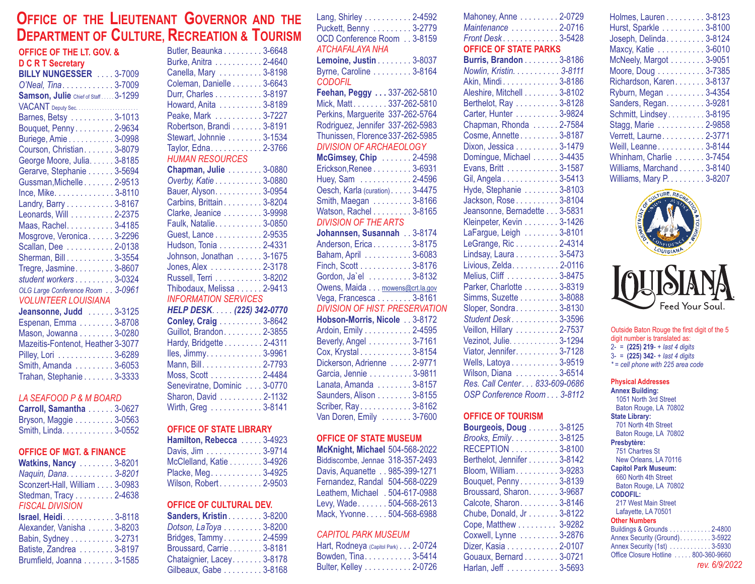# **O LG FFICE OF THE IEUTENANT OVERNOR AND THE D CR T EPARTMENT OF ULTURE, ECREATION & OURISM**

| <b>OFFICE OF THE LT. GOV. &amp;</b> |
|-------------------------------------|
| <b>D C R T Secretary</b>            |
| BILLY NUNGESSER  3-7009             |
| O'Neal, Tina. 3-7009                |
| Samson, Julie Chief of Staff3-1299  |
| VACANT Deputy Sec.                  |
| Barnes, Betsy 3-1013                |
| Bouquet, Penny 2-9634               |
| Buriege, Amie 3-0998                |
| Courson, Christian. 3-8079          |
| George Moore, Julia. 3-8185         |
| Gerarve, Stephanie 3-5694           |
| Gussman, Michelle 2-9513            |
| Ince, Mike. 3-8110                  |
| Landry, Barry 3-8167                |
| Leonards, Will 2-2375               |
| Maas, Rachel. 3-4185                |
| Mosgrove, Veronica 3-2296           |
| Scallan, Dee 2-0138                 |
| Sherman, Bill. 3-3554               |
| Tregre, Jasmine. 3-8607             |
| student workers 3-0324              |
| OLG Large Conference Room 3-0961    |
| <b>VOLUNTEER LOUISIANA</b>          |
| Jeansonne, Judd  3-3125             |
| Espenan, Emma 3-8708                |
| Mason, Jowanna 3-0280               |
| Maroltin Fontanot, Hoothor 2, 2077  |

| Mazeitis-Fontenot. Heather 3-3077 |  |
|-----------------------------------|--|
| Pilley, Lori 3-6289               |  |
|                                   |  |
| Trahan, Stephanie 3-3333          |  |

#### *LA SEAFOOD P & M BOARD*

| Carroll, Samantha 3-0627 |  |
|--------------------------|--|
| Bryson, Maggie 3-0563    |  |
| Smith, Linda. 3-0552     |  |

#### **OFFICE OF MGT. & FINANCE**

| Brumfield, Joanna 3-1585 |
|--------------------------|
|                          |

| :, RECREATION & TOURIS      |  |
|-----------------------------|--|
| Butler, Beaunka 3-6648      |  |
| Burke, Anitra 2-4640        |  |
| Canella, Mary 3-8198        |  |
| Coleman, Danielle 3-6643    |  |
| Durr, Charles 3-8197        |  |
| Howard, Anita 3-8189        |  |
| Peake, Mark 3-7227          |  |
| Robertson, Brandi 3-8191    |  |
| Stewart, Johnnie 3-1534     |  |
| Taylor, Edna. 2-3766        |  |
| <b>HUMAN RESOURCES</b>      |  |
| Chapman, Julie 3-0880       |  |
| Overby, Katie 3-0880        |  |
| Bauer, Alyson. 3-0954       |  |
| Carbins, Brittain. 3-8204   |  |
| Clarke, Jeanice 3-9998      |  |
| Faulk, Natalie. 3-0850      |  |
| Guest, Lance 2-9535         |  |
| Hudson, Tonia 2-4331        |  |
| Johnson, Jonathan  3-1675   |  |
| Jones, Alex 2-3178          |  |
| Russell, Terri 3-8202       |  |
| Thibodaux, Melissa 2-9413   |  |
| <b>INFORMATION SERVICES</b> |  |
| HELP DESK. (225) 342-0770   |  |
| <b>Conley, Craig 3-8642</b> |  |
| Guillot, Brandon. 2-3855    |  |
| Hardy, Bridgette 2-4311     |  |
| lles, Jimmy. 3-9961         |  |
| Mann, Bill. 2-7793          |  |
| Moss, Scott 2-4484          |  |
| Seneviratne, Dominic 3-0770 |  |
| Sharon, David 2-1132        |  |
| Wirth, Greg 3-8141          |  |

## **OFFICE OF STATE LIBRARY**

| Hamilton, Rebecca  3-4923 |  |
|---------------------------|--|
| Davis, Jim 3-9714         |  |
| McClelland, Katie 3-4926  |  |
| Placke, Meg. 3-4925       |  |
| Wilson, Robert 2-9503     |  |
|                           |  |

#### **OFFICE OF CULTURAL DEV.**

| <b>Sanders, Kristin 3-8200</b> |
|--------------------------------|
| Dotson, LaToya 3-8200          |
| Bridges, Tammy 2-4599          |
| Broussard, Carrie 3-8181       |
| Chataignier, Lacey3-8178       |
| Gilbeaux, Gabe 3-8168          |

| Lang, Shirley 2-4592                  |  |
|---------------------------------------|--|
| Puckett, Benny 3-2779                 |  |
| OCD Conference Room 3-8159            |  |
| ATCHAFALAYA NHA                       |  |
| Lemoine, Justin 3-8037                |  |
| Byrne, Caroline 3-8164                |  |
| <b>CODOFIL</b>                        |  |
| Feehan, Peggy 337-262-5810            |  |
|                                       |  |
|                                       |  |
| Rodriguez, Jennifer 337-262-5983      |  |
| Thunissen, Florence 337-262-5985      |  |
| <b>DIVISION OF ARCHAEOLOGY</b>        |  |
| McGimsey, Chip 2-4598                 |  |
| Erickson, Renee 3-6931                |  |
| Huey, Sam 2-4596                      |  |
| Oesch, Karla (curation). 3-4475       |  |
| Smith, Maegan 3-8166                  |  |
| Watson, Rachel 3-8165                 |  |
| <b>DIVISION OF THE ARTS</b>           |  |
| Johannsen, Susannah 3-8174            |  |
| Anderson, Erica 3-8175                |  |
| Baham, April 3-6083                   |  |
| Finch, Scott 3-8176                   |  |
| Gordon, Ja`el 3-8132                  |  |
| Owens, Maida mowens@crt.la.gov        |  |
| Vega, Francesca 3-8161                |  |
| <b>DIVISION OF HIST. PRESERVATION</b> |  |
| Hobson-Morris, Nicole 3-8172          |  |
| Ardoin, Emily 2-4595                  |  |
| Beverly, Angel 3-7161                 |  |
| Cox, Krystal 3-8154                   |  |
| Dickerson, Adrienne  2-9771           |  |
| Garcia, Jennie 3-9811                 |  |
| Lanata, Amanda 3-8157                 |  |
| Saunders, Alison 3-8155               |  |
| Scriber, Ray3-8162                    |  |
| Van Doren, Emily  3-7600              |  |

#### **OFFICE OF STATE MUSEUM**

| <b>McKnight, Michael 504-568-2022</b> |  |
|---------------------------------------|--|
| Biddiscombe, Jennae 318-357-2493      |  |
| Davis, Aquanette 985-399-1271         |  |
| Fernandez, Randal 504-568-0229        |  |
| Leathem, Michael . 504-617-0988       |  |
| Levy, Wade. 504-568-2613              |  |
| Mack, Yvonne 504-568-6988             |  |

## *CAPITOL PARK MUSEUM*

| Hart, Rodneya (Capitol Park) 2-0724 |  |
|-------------------------------------|--|
| Bowden, Tina. 3-5414                |  |
| Bulter, Kelley 2-0726               |  |

| Mahoney, Anne 2-0729                                          |  |
|---------------------------------------------------------------|--|
| Maintenance 2-0716                                            |  |
|                                                               |  |
| Front Desk3-5428<br>OFFICE OF STATE PARKS                     |  |
| Burris, Brandon 3-8186                                        |  |
| Nowlin, Kristin. 3-8111                                       |  |
| Akin, Mindi3-8186                                             |  |
| Aleshire, Mitchell 3-8102                                     |  |
| Berthelot, Ray 3-8128                                         |  |
| Carter, Hunter 3-9824                                         |  |
| Chapman, Rhonda 2-7584                                        |  |
| Cosme, Annette 3-8187                                         |  |
| Dixon, Jessica 3-1479                                         |  |
| Domingue, Michael 3-4435                                      |  |
| Evans, Britt 3-1587                                           |  |
| Gil, Angela 3-5413                                            |  |
| Hyde, Stephanie 3-8103                                        |  |
| Jackson, Rose 3-8104                                          |  |
| Jeansonne, Bernadette 3-5831                                  |  |
| Kleinpeter, Kevin 3-1426                                      |  |
| LaFargue, Leigh 3-8101                                        |  |
| LeGrange, Ric 2-4314                                          |  |
| Lindsay, Laura 3-5473                                         |  |
| Livious, Zelda. 2-0116                                        |  |
| Melius, Cliff 3-8475                                          |  |
| Parker, Charlotte 3-8319                                      |  |
| Simms, Suzette 3-8088                                         |  |
| Sloper, Sondra 3-8130                                         |  |
| Student Desk3-3596                                            |  |
| Veillon, Hillary 2-7537                                       |  |
| Vezinot, Julie. 3-1294                                        |  |
| Viator, Jennifer. 3-7128                                      |  |
| Wells, Latoya3-9519                                           |  |
| Wilson, Diana 3-6514<br><i>Res. Call Center. 833-609-0686</i> |  |
|                                                               |  |
| OSP Conference Room3-8112                                     |  |

#### **OFFICE OF TOURISM**

| <b>Bourgeois, Doug 3-8125</b> |
|-------------------------------|
| Brooks, Emily. 3-8125         |
| RECEPTION 3-8100              |
| Berthelot, Jennifer 3-8142    |
| Bloom, William 3-9283         |
| Bouquet, Penny 3-8139         |
| Broussard, Sharon. 3-9687     |
| Calcote, Sharon. 3-8146       |
| Chube, Donald, Jr 3-8122      |
| Cope, Matthew 3-9282          |
| Coxwell, Lynne 3-2876         |
| Dizer, Kasia 2-0107           |
| Gouaux, Bernard 3-0721        |
| Harlan, Jeff  3-5693          |

| Holmes, Lauren 3-8123     |
|---------------------------|
| Hurst, Sparkle 3-8100     |
| Joseph, Delinda. 3-8124   |
| Maxcy, Katie 3-6010       |
| McNeely, Margot 3-9051    |
| Moore, Doug 3-7385        |
| Richardson, Karen 3-8137  |
| Ryburn, Megan 3-4354      |
| Sanders, Regan. 3-9281    |
| Schmitt, Lindsey 3-8195   |
| Stagg, Marie 2-9858       |
| Verrett, Laurne. 2-3771   |
| Weill, Leanne3-8144       |
| Whinham, Charlie 3-7454   |
| Williams, Marchand 3-8140 |
| Williams, Mary P. 3-8207  |
|                           |



#### Outside Baton Rouge the first digit of the 5 digit number is translated as: 2- = - <sup>+</sup> **(225) 219** *last 4 digits* 3- = (**225) 342**- + *last 4 digits \* = cell phone with 225 area code*

#### **Physical Addresses Annex Building:** 1051 North 3rd Street Baton Rouge, LA 70802 **State Library:** 701 North 4th Street Baton Rouge, LA 70802 **Presbytère:** 751 Chartres St New Orleans, LA 70116 **Capitol Park Museum:** 660 North 4th Street Baton Rouge, LA 70802 **CODOFIL:** 217 West Main StreetLafayette, LA 70501 **Other Numbers** Buildings & Grounds . . . . . . . . . . . . 2-4800 Annex Security (Ground). . . . . . . . . 3-5922 Annex Security (1st) . . . . . . . . . . . . 3-5930 Office Closure Hotline . . . . . 800-360-9660 *rev. 6/9/2022*